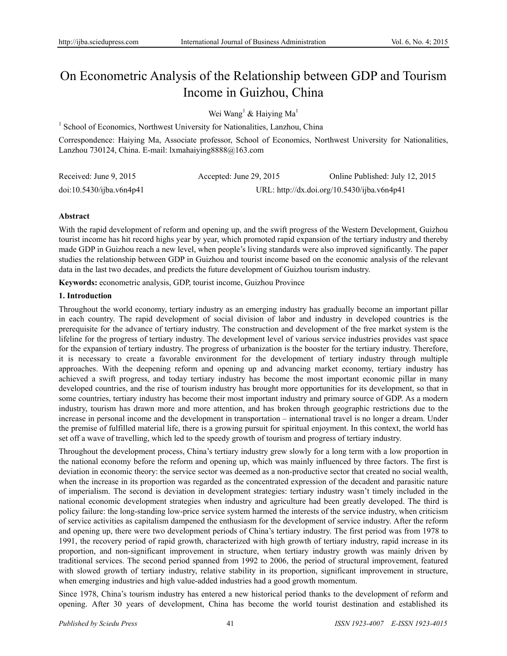# On Econometric Analysis of the Relationship between GDP and Tourism Income in Guizhou, China

Wei Wang<sup>1</sup> & Haiying Ma<sup>1</sup>

<sup>1</sup> School of Economics, Northwest University for Nationalities, Lanzhou, China

Correspondence: Haiying Ma, Associate professor, School of Economics, Northwest University for Nationalities, Lanzhou 730124, China. E-mail: lxmahaiying8888@163.com

| Received: June $9, 2015$ | Accepted: June 29, 2015 | Online Published: July 12, 2015             |
|--------------------------|-------------------------|---------------------------------------------|
| doi:10.5430/ijba.v6n4p41 |                         | URL: http://dx.doi.org/10.5430/ijba.v6n4p41 |

## **Abstract**

With the rapid development of reform and opening up, and the swift progress of the Western Development, Guizhou tourist income has hit record highs year by year, which promoted rapid expansion of the tertiary industry and thereby made GDP in Guizhou reach a new level, when people's living standards were also improved significantly. The paper studies the relationship between GDP in Guizhou and tourist income based on the economic analysis of the relevant data in the last two decades, and predicts the future development of Guizhou tourism industry.

**Keywords:** econometric analysis, GDP, tourist income, Guizhou Province

## **1. Introduction**

Throughout the world economy, tertiary industry as an emerging industry has gradually become an important pillar in each country. The rapid development of social division of labor and industry in developed countries is the prerequisite for the advance of tertiary industry. The construction and development of the free market system is the lifeline for the progress of tertiary industry. The development level of various service industries provides vast space for the expansion of tertiary industry. The progress of urbanization is the booster for the tertiary industry. Therefore, it is necessary to create a favorable environment for the development of tertiary industry through multiple approaches. With the deepening reform and opening up and advancing market economy, tertiary industry has achieved a swift progress, and today tertiary industry has become the most important economic pillar in many developed countries, and the rise of tourism industry has brought more opportunities for its development, so that in some countries, tertiary industry has become their most important industry and primary source of GDP. As a modern industry, tourism has drawn more and more attention, and has broken through geographic restrictions due to the increase in personal income and the development in transportation – international travel is no longer a dream. Under the premise of fulfilled material life, there is a growing pursuit for spiritual enjoyment. In this context, the world has set off a wave of travelling, which led to the speedy growth of tourism and progress of tertiary industry.

Throughout the development process, China's tertiary industry grew slowly for a long term with a low proportion in the national economy before the reform and opening up, which was mainly influenced by three factors. The first is deviation in economic theory: the service sector was deemed as a non-productive sector that created no social wealth, when the increase in its proportion was regarded as the concentrated expression of the decadent and parasitic nature of imperialism. The second is deviation in development strategies: tertiary industry wasn't timely included in the national economic development strategies when industry and agriculture had been greatly developed. The third is policy failure: the long-standing low-price service system harmed the interests of the service industry, when criticism of service activities as capitalism dampened the enthusiasm for the development of service industry. After the reform and opening up, there were two development periods of China's tertiary industry. The first period was from 1978 to 1991, the recovery period of rapid growth, characterized with high growth of tertiary industry, rapid increase in its proportion, and non-significant improvement in structure, when tertiary industry growth was mainly driven by traditional services. The second period spanned from 1992 to 2006, the period of structural improvement, featured with slowed growth of tertiary industry, relative stability in its proportion, significant improvement in structure, when emerging industries and high value-added industries had a good growth momentum.

Since 1978, China's tourism industry has entered a new historical period thanks to the development of reform and opening. After 30 years of development, China has become the world tourist destination and established its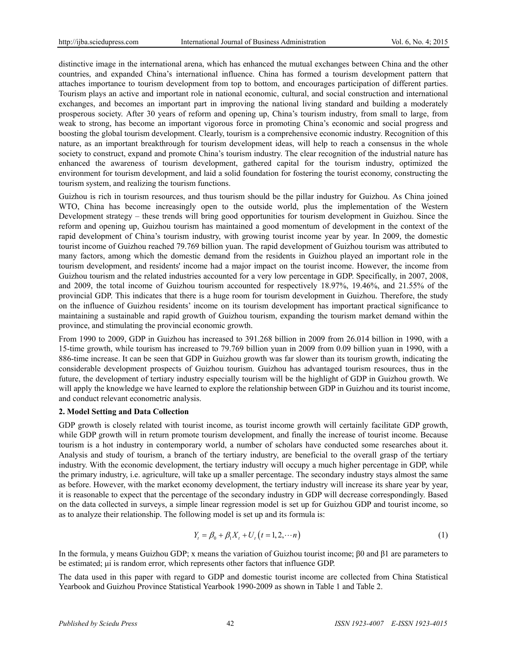distinctive image in the international arena, which has enhanced the mutual exchanges between China and the other countries, and expanded China's international influence. China has formed a tourism development pattern that attaches importance to tourism development from top to bottom, and encourages participation of different parties. Tourism plays an active and important role in national economic, cultural, and social construction and international exchanges, and becomes an important part in improving the national living standard and building a moderately prosperous society. After 30 years of reform and opening up, China's tourism industry, from small to large, from weak to strong, has become an important vigorous force in promoting China's economic and social progress and boosting the global tourism development. Clearly, tourism is a comprehensive economic industry. Recognition of this nature, as an important breakthrough for tourism development ideas, will help to reach a consensus in the whole society to construct, expand and promote China's tourism industry. The clear recognition of the industrial nature has enhanced the awareness of tourism development, gathered capital for the tourism industry, optimized the environment for tourism development, and laid a solid foundation for fostering the tourist economy, constructing the tourism system, and realizing the tourism functions.

Guizhou is rich in tourism resources, and thus tourism should be the pillar industry for Guizhou. As China joined WTO, China has become increasingly open to the outside world, plus the implementation of the Western Development strategy – these trends will bring good opportunities for tourism development in Guizhou. Since the reform and opening up, Guizhou tourism has maintained a good momentum of development in the context of the rapid development of China's tourism industry, with growing tourist income year by year. In 2009, the domestic tourist income of Guizhou reached 79.769 billion yuan. The rapid development of Guizhou tourism was attributed to many factors, among which the domestic demand from the residents in Guizhou played an important role in the tourism development, and residents' income had a major impact on the tourist income. However, the income from Guizhou tourism and the related industries accounted for a very low percentage in GDP. Specifically, in 2007, 2008, and 2009, the total income of Guizhou tourism accounted for respectively 18.97%, 19.46%, and 21.55% of the provincial GDP. This indicates that there is a huge room for tourism development in Guizhou. Therefore, the study on the influence of Guizhou residents' income on its tourism development has important practical significance to maintaining a sustainable and rapid growth of Guizhou tourism, expanding the tourism market demand within the province, and stimulating the provincial economic growth.

From 1990 to 2009, GDP in Guizhou has increased to 391.268 billion in 2009 from 26.014 billion in 1990, with a 15-time growth, while tourism has increased to 79.769 billion yuan in 2009 from 0.09 billion yuan in 1990, with a 886-time increase. It can be seen that GDP in Guizhou growth was far slower than its tourism growth, indicating the considerable development prospects of Guizhou tourism. Guizhou has advantaged tourism resources, thus in the future, the development of tertiary industry especially tourism will be the highlight of GDP in Guizhou growth. We will apply the knowledge we have learned to explore the relationship between GDP in Guizhou and its tourist income, and conduct relevant econometric analysis.

## **2. Model Setting and Data Collection**

GDP growth is closely related with tourist income, as tourist income growth will certainly facilitate GDP growth, while GDP growth will in return promote tourism development, and finally the increase of tourist income. Because tourism is a hot industry in contemporary world, a number of scholars have conducted some researches about it. Analysis and study of tourism, a branch of the tertiary industry, are beneficial to the overall grasp of the tertiary industry. With the economic development, the tertiary industry will occupy a much higher percentage in GDP, while the primary industry, i.e. agriculture, will take up a smaller percentage. The secondary industry stays almost the same as before. However, with the market economy development, the tertiary industry will increase its share year by year, it is reasonable to expect that the percentage of the secondary industry in GDP will decrease correspondingly. Based on the data collected in surveys, a simple linear regression model is set up for Guizhou GDP and tourist income, so as to analyze their relationship. The following model is set up and its formula is:

$$
Y_t = \beta_0 + \beta_1 X_t + U_t (t = 1, 2, \cdots n)
$$
\n(1)

In the formula, y means Guizhou GDP; x means the variation of Guizhou tourist income; β0 and β1 are parameters to be estimated; μi is random error, which represents other factors that influence GDP.

The data used in this paper with regard to GDP and domestic tourist income are collected from China Statistical Yearbook and Guizhou Province Statistical Yearbook 1990-2009 as shown in Table 1 and Table 2.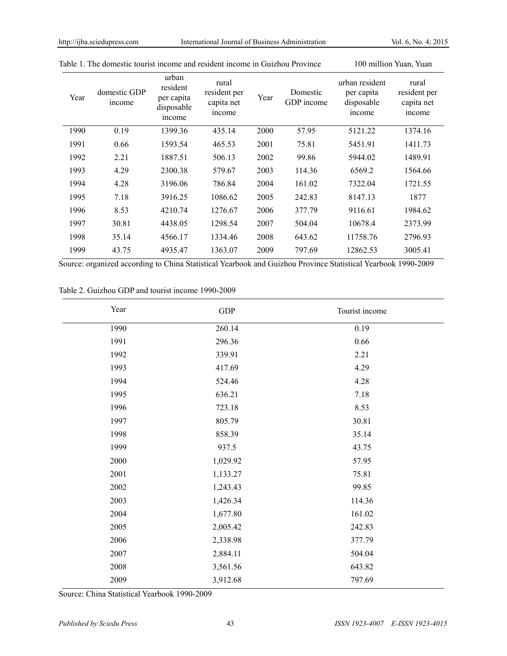| Year | domestic GDP<br>income | urban<br>resident<br>per capita<br>disposable<br>income | rural<br>resident per<br>capita net<br>income | Year | Domestic<br>GDP income | urban resident<br>per capita<br>disposable<br>income | rural<br>resident per<br>capita net<br>income |
|------|------------------------|---------------------------------------------------------|-----------------------------------------------|------|------------------------|------------------------------------------------------|-----------------------------------------------|
| 1990 | 0.19                   | 1399.36                                                 | 435.14                                        | 2000 | 57.95                  | 5121.22                                              | 1374.16                                       |
| 1991 | 0.66                   | 1593.54                                                 | 465.53                                        | 2001 | 75.81                  | 5451.91                                              | 1411.73                                       |
| 1992 | 2.21                   | 1887.51                                                 | 506.13                                        | 2002 | 99.86                  | 5944.02                                              | 1489.91                                       |
| 1993 | 4.29                   | 2300.38                                                 | 579.67                                        | 2003 | 114.36                 | 6569.2                                               | 1564.66                                       |
| 1994 | 4.28                   | 3196.06                                                 | 786.84                                        | 2004 | 161.02                 | 7322.04                                              | 1721.55                                       |
| 1995 | 7.18                   | 3916.25                                                 | 1086.62                                       | 2005 | 242.83                 | 8147.13                                              | 1877                                          |
| 1996 | 8.53                   | 4210.74                                                 | 1276.67                                       | 2006 | 377.79                 | 9116.61                                              | 1984.62                                       |
| 1997 | 30.81                  | 4438.05                                                 | 1298.54                                       | 2007 | 504.04                 | 10678.4                                              | 2373.99                                       |
| 1998 | 35.14                  | 4566.17                                                 | 1334.46                                       | 2008 | 643.62                 | 11758.76                                             | 2796.93                                       |
| 1999 | 43.75                  | 4935.47                                                 | 1363.07                                       | 2009 | 797.69                 | 12862.53                                             | 3005.41                                       |

Table 1. The domestic tourist income and resident income in Guizhou Province 100 million Yuan, Yuan

Source: organized according to China Statistical Yearbook and Guizhou Province Statistical Yearbook 1990-2009

Table 2. Guizhou GDP and tourist income 1990-2009

| Year | ${\rm GDP}$ | Tourist income |
|------|-------------|----------------|
| 1990 | 260.14      | 0.19           |
| 1991 | 296.36      | 0.66           |
| 1992 | 339.91      | 2.21           |
| 1993 | 417.69      | 4.29           |
| 1994 | 524.46      | 4.28           |
| 1995 | 636.21      | 7.18           |
| 1996 | 723.18      | 8.53           |
| 1997 | 805.79      | 30.81          |
| 1998 | 858.39      | 35.14          |
| 1999 | 937.5       | 43.75          |
| 2000 | 1,029.92    | 57.95          |
| 2001 | 1,133.27    | 75.81          |
| 2002 | 1,243.43    | 99.85          |
| 2003 | 1,426.34    | 114.36         |
| 2004 | 1,677.80    | 161.02         |
| 2005 | 2,005.42    | 242.83         |
| 2006 | 2,338.98    | 377.79         |
| 2007 | 2,884.11    | 504.04         |
| 2008 | 3,561.56    | 643.82         |
| 2009 | 3,912.68    | 797.69         |

Source: China Statistical Yearbook 1990-2009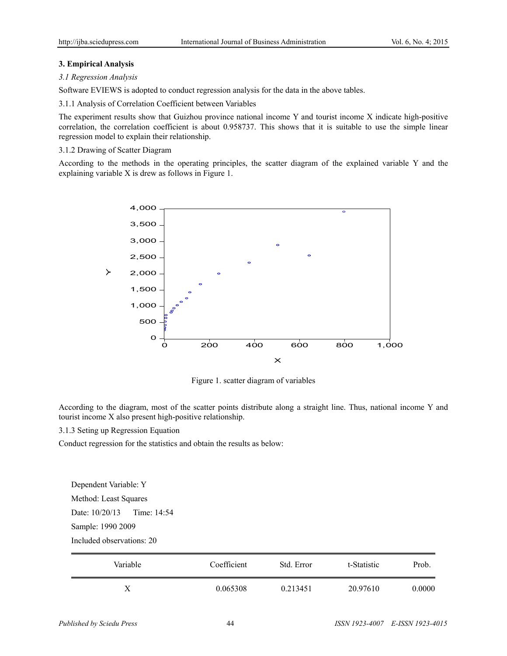## **3. Empirical Analysis**

#### *3.1 Regression Analysis*

Software EVIEWS is adopted to conduct regression analysis for the data in the above tables.

3.1.1 Analysis of Correlation Coefficient between Variables

The experiment results show that Guizhou province national income Y and tourist income X indicate high-positive correlation, the correlation coefficient is about 0.958737. This shows that it is suitable to use the simple linear regression model to explain their relationship.

## 3.1.2 Drawing of Scatter Diagram

According to the methods in the operating principles, the scatter diagram of the explained variable Y and the explaining variable X is drew as follows in Figure 1.



Figure 1. scatter diagram of variables

According to the diagram, most of the scatter points distribute along a straight line. Thus, national income Y and tourist income X also present high-positive relationship.

3.1.3 Seting up Regression Equation

Conduct regression for the statistics and obtain the results as below:

Dependent Variable: Y Method: Least Squares Date: 10/20/13 Time: 14:54

Sample: 1990 2009

Included observations: 20

| Variable | Coefficient | Std. Error | t-Statistic | Prob.  |
|----------|-------------|------------|-------------|--------|
|          | 0.065308    | 0.213451   | 20.97610    | 0.0000 |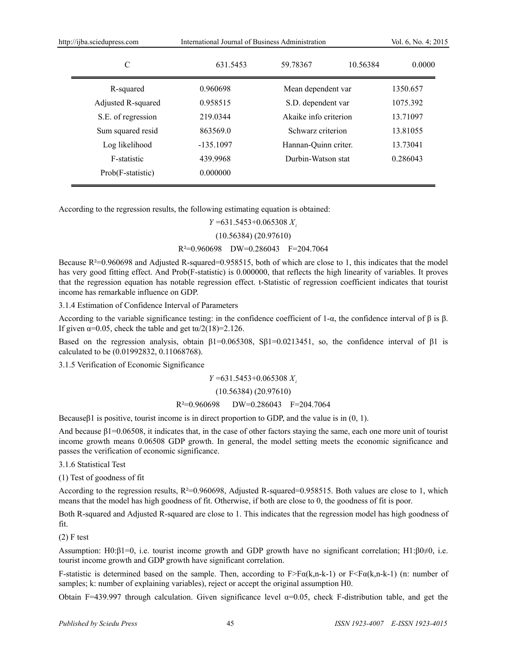| http://ijba.sciedupress.com |                    | International Journal of Business Administration | Vol. 6, No. 4; 2015                                                                      |          |                      |  |
|-----------------------------|--------------------|--------------------------------------------------|------------------------------------------------------------------------------------------|----------|----------------------|--|
|                             | C                  | 631.5453                                         | 59.78367                                                                                 | 10.56384 | 0.0000               |  |
|                             | R-squared          | 0.960698                                         | Mean dependent var                                                                       |          | 1350.657             |  |
|                             | Adjusted R-squared | 0.958515                                         | S.D. dependent var<br>Akaike info criterion<br>Schwarz criterion<br>Hannan-Quinn criter. |          | 1075.392<br>13.71097 |  |
|                             | S.E. of regression | 219.0344                                         |                                                                                          |          |                      |  |
|                             | Sum squared resid  | 863569.0                                         |                                                                                          |          | 13.81055             |  |
|                             | Log likelihood     | $-135.1097$                                      |                                                                                          |          | 13.73041             |  |
|                             | F-statistic        | 439.9968<br>Durbin-Watson stat                   |                                                                                          | 0.286043 |                      |  |
|                             | Prob(F-statistic)  | 0.000000                                         |                                                                                          |          |                      |  |
|                             |                    |                                                  |                                                                                          |          |                      |  |

According to the regression results, the following estimating equation is obtained:

*Y* =631.5453+0.065308 *Xi* (10.56384) (20.97610) R²=0.960698 DW=0.286043 F=204.7064

Because  $R^2=0.960698$  and Adjusted R-squared=0.958515, both of which are close to 1, this indicates that the model has very good fitting effect. And Prob(F-statistic) is 0.000000, that reflects the high linearity of variables. It proves that the regression equation has notable regression effect. t-Statistic of regression coefficient indicates that tourist income has remarkable influence on GDP.

3.1.4 Estimation of Confidence Interval of Parameters

According to the variable significance testing: in the confidence coefficient of 1-α, the confidence interval of  $\beta$  is  $\beta$ . If given  $\alpha$ =0.05, check the table and get t $\alpha$ /2(18)=2.126.

Based on the regression analysis, obtain  $\beta$ 1=0.065308, S $\beta$ 1=0.0213451, so, the confidence interval of  $\beta$ 1 is calculated to be (0.01992832, 0.11068768).

3.1.5 Verification of Economic Significance

*Y* =631.5453+0.065308 *Xi*

(10.56384) (20.97610)

#### R²=0.960698 DW=0.286043 F=204.7064

Because $\beta$ 1 is positive, tourist income is in direct proportion to GDP, and the value is in (0, 1).

And because  $\beta$ 1=0.06508, it indicates that, in the case of other factors staying the same, each one more unit of tourist income growth means 0.06508 GDP growth. In general, the model setting meets the economic significance and passes the verification of economic significance.

3.1.6 Statistical Test

(1) Test of goodness of fit

According to the regression results, R²=0.960698, Adjusted R-squared=0.958515. Both values are close to 1, which means that the model has high goodness of fit. Otherwise, if both are close to 0, the goodness of fit is poor.

Both R-squared and Adjusted R-squared are close to 1. This indicates that the regression model has high goodness of fit.

(2) F test

Assumption: H0:β1=0, i.e. tourist income growth and GDP growth have no significant correlation; H1:β0≠0, i.e. tourist income growth and GDP growth have significant correlation.

F-statistic is determined based on the sample. Then, according to  $F > F\alpha(k,n-k-1)$  or  $F < F\alpha(k,n-k-1)$  (n: number of samples; k: number of explaining variables), reject or accept the original assumption H0.

Obtain F=439.997 through calculation. Given significance level  $\alpha$ =0.05, check F-distribution table, and get the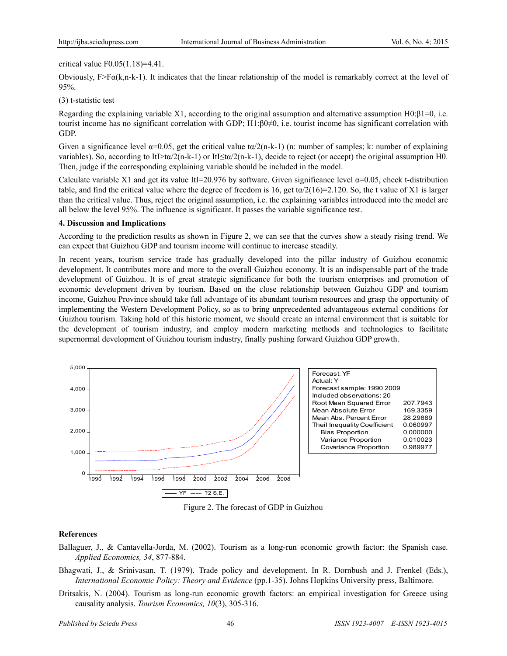#### critical value F0.05(1.18)=4.41.

Obviously,  $F > F\alpha(k, n-k-1)$ . It indicates that the linear relationship of the model is remarkably correct at the level of 95%.

#### (3) t-statistic test

Regarding the explaining variable X1, according to the original assumption and alternative assumption H0:β1=0, i.e. tourist income has no significant correlation with GDP; H1:β0≠0, i.e. tourist income has significant correlation with GDP.

Given a significance level  $\alpha=0.05$ , get the critical value t $\alpha/2(n-k-1)$  (n: number of samples; k: number of explaining variables). So, according to ItI>t $\alpha/2(n-k-1)$  or ItI $\leq \alpha/2(n-k-1)$ , decide to reject (or accept) the original assumption H0. Then, judge if the corresponding explaining variable should be included in the model.

Calculate variable X1 and get its value ItI=20.976 by software. Given significance level  $\alpha$ =0.05, check t-distribution table, and find the critical value where the degree of freedom is 16, get t $\alpha/2(16)=2.120$ . So, the t value of X1 is larger than the critical value. Thus, reject the original assumption, i.e. the explaining variables introduced into the model are all below the level 95%. The influence is significant. It passes the variable significance test.

#### **4. Discussion and Implications**

According to the prediction results as shown in Figure 2, we can see that the curves show a steady rising trend. We can expect that Guizhou GDP and tourism income will continue to increase steadily.

In recent years, tourism service trade has gradually developed into the pillar industry of Guizhou economic development. It contributes more and more to the overall Guizhou economy. It is an indispensable part of the trade development of Guizhou. It is of great strategic significance for both the tourism enterprises and promotion of economic development driven by tourism. Based on the close relationship between Guizhou GDP and tourism income, Guizhou Province should take full advantage of its abundant tourism resources and grasp the opportunity of implementing the Western Development Policy, so as to bring unprecedented advantageous external conditions for Guizhou tourism. Taking hold of this historic moment, we should create an internal environment that is suitable for the development of tourism industry, and employ modern marketing methods and technologies to facilitate supernormal development of Guizhou tourism industry, finally pushing forward Guizhou GDP growth.



Figure 2. The forecast of GDP in Guizhou

## **References**

- Ballaguer, J., & Cantavella-Jorda, M. (2002). Tourism as a long-run economic growth factor: the Spanish case. *Applied Economics, 34*, 877-884.
- Bhagwati, J., & Srinivasan, T. (1979). Trade policy and development. In R. Dornbush and J. Frenkel (Eds.), *International Economic Policy: Theory and Evidence* (pp.1-35). Johns Hopkins University press, Baltimore.
- Dritsakis, N. (2004). Tourism as long-run economic growth factors: an empirical investigation for Greece using causality analysis. *Tourism Economics, 10*(3), 305-316.